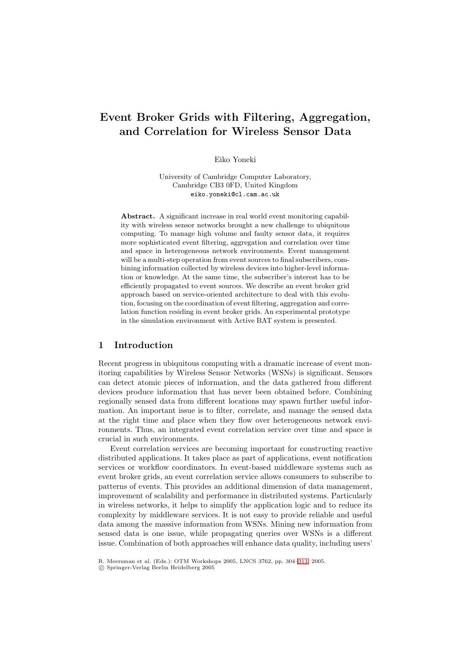# **Event Broker Grids with Filtering, Aggregation, and Correlation for Wireless Sensor Data**

Eiko Yoneki

University of Cambridge Computer Laboratory, Cambridge CB3 0FD, United Kingdom eiko.yoneki@cl.cam.ac.uk

**Abstract.** A significant increase in real world event monitoring capability with wireless sensor networks brought a new challenge to ubiquitous computing. To manage high volume and faulty sensor data, it requires more sophisticated event filtering, aggregation and correlation over time and space in heterogeneous network environments. Event management will be a multi-step operation from event sources to final subscribers, combining information collected by wireless devices into higher-level information or knowledge. At the same time, the subscriber's interest has to be efficiently propagated to event sources. We describe an event broker grid approach based on service-oriented architecture to deal with this evolution, focusing on the coordination of event filtering, aggregation and correlation function residing in event broker grids. An experimental prototype in the simulation environment with Active BAT system is presented.

# **1 Introduction**

Recent progress in ubiquitous computing with a dramatic increase of event monitoring capabilities by Wireless Sensor Networks (WSNs) is significant. Sensors can detect atomic pieces of information, and the data gathered from different devices produce information that has never been obtained before. Combining regionally sensed data from different locations may spawn further useful information. An important issue is to filter, correlate, and manage the sensed data at the right time and place when they flow over heterogeneous network environments. Thus, an integrated event correlation service over time and space is crucial in such environments.

Event correlation services are becoming important for constructing reactive distributed applications. It takes place as part of applications, event notification services or workflow coordinators. In event-based middleware systems such as event broker grids, an event correlation service allows consumers to subscribe to patterns of events. This provides an additional dimension of data management, improvement of scalability and performance in distributed systems. Particularly in wireless networks, it helps to simplify the application logic and to reduce its complexity by middleware services. It is not easy to provide reliable and useful data among the massive information from WSNs. Mining new information from sensed data is one issue, while propagating queries over WSNs is a different issue. Combination of both approaches will enhance data quality, including users'

R. Meersman et al. (Eds.): OTM Workshops 2005, LNCS 3762, pp. 304[–313,](#page-9-0) 2005.

c Springer-Verlag Berlin Heidelberg 2005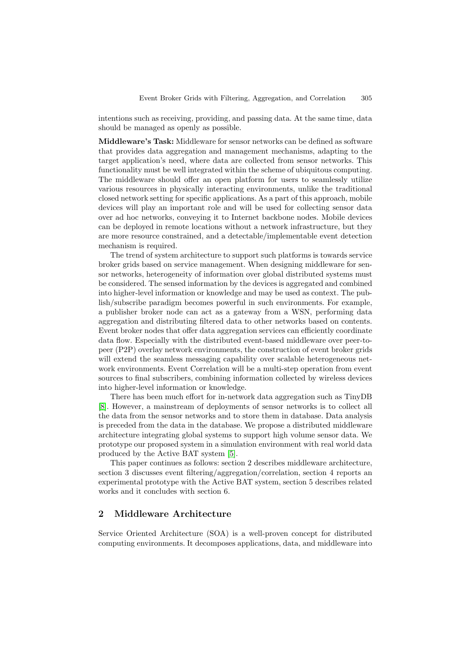intentions such as receiving, providing, and passing data. At the same time, data should be managed as openly as possible.

**Middleware's Task:** Middleware for sensor networks can be defined as software that provides data aggregation and management mechanisms, adapting to the target application's need, where data are collected from sensor networks. This functionality must be well integrated within the scheme of ubiquitous computing. The middleware should offer an open platform for users to seamlessly utilize various resources in physically interacting environments, unlike the traditional closed network setting for specific applications. As a part of this approach, mobile devices will play an important role and will be used for collecting sensor data over ad hoc networks, conveying it to Internet backbone nodes. Mobile devices can be deployed in remote locations without a network infrastructure, but they are more resource constrained, and a detectable/implementable event detection mechanism is required.

The trend of system architecture to support such platforms is towards service broker grids based on service management. When designing middleware for sensor networks, heterogeneity of information over global distributed systems must be considered. The sensed information by the devices is aggregated and combined into higher-level information or knowledge and may be used as context. The publish/subscribe paradigm becomes powerful in such environments. For example, a publisher broker node can act as a gateway from a WSN, performing data aggregation and distributing filtered data to other networks based on contents. Event broker nodes that offer data aggregation services can efficiently coordinate data flow. Especially with the distributed event-based middleware over peer-topeer (P2P) overlay network environments, the construction of event broker grids will extend the seamless messaging capability over scalable heterogeneous network environments. Event Correlation will be a multi-step operation from event sources to final subscribers, combining information collected by wireless devices into higher-level information or knowledge.

There has been much effort for in-network data aggregation such as TinyDB [\[8\]](#page-9-1). However, a mainstream of deployments of sensor networks is to collect all the data from the sensor networks and to store them in database. Data analysis is preceded from the data in the database. We propose a distributed middleware architecture integrating global systems to support high volume sensor data. We prototype our proposed system in a simulation environment with real world data produced by the Active BAT system [\[5\]](#page-9-2).

This paper continues as follows: section 2 describes middleware architecture, section 3 discusses event filtering/aggregation/correlation, section 4 reports an experimental prototype with the Active BAT system, section 5 describes related works and it concludes with section 6.

# **2 Middleware Architecture**

Service Oriented Architecture (SOA) is a well-proven concept for distributed computing environments. It decomposes applications, data, and middleware into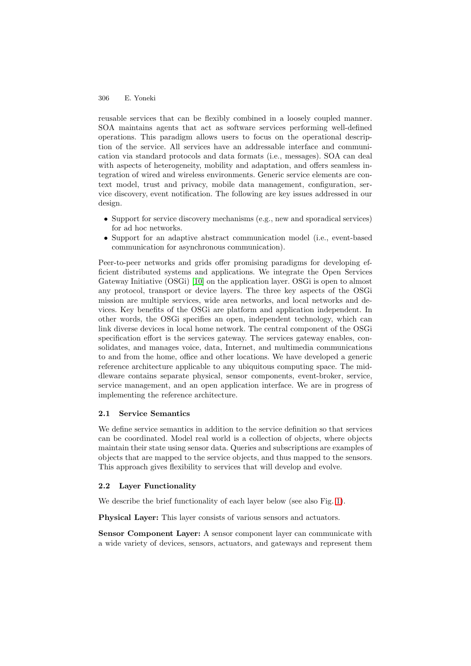#### 306 E. Yoneki

reusable services that can be flexibly combined in a loosely coupled manner. SOA maintains agents that act as software services performing well-defined operations. This paradigm allows users to focus on the operational description of the service. All services have an addressable interface and communication via standard protocols and data formats (i.e., messages). SOA can deal with aspects of heterogeneity, mobility and adaptation, and offers seamless integration of wired and wireless environments. Generic service elements are context model, trust and privacy, mobile data management, configuration, service discovery, event notification. The following are key issues addressed in our design.

- Support for service discovery mechanisms (e.g., new and sporadical services) for ad hoc networks.
- Support for an adaptive abstract communication model (i.e., event-based communication for asynchronous communication).

Peer-to-peer networks and grids offer promising paradigms for developing efficient distributed systems and applications. We integrate the Open Services Gateway Initiative (OSGi) [\[10\]](#page-9-3) on the application layer. OSGi is open to almost any protocol, transport or device layers. The three key aspects of the OSGi mission are multiple services, wide area networks, and local networks and devices. Key benefits of the OSGi are platform and application independent. In other words, the OSGi specifies an open, independent technology, which can link diverse devices in local home network. The central component of the OSGi specification effort is the services gateway. The services gateway enables, consolidates, and manages voice, data, Internet, and multimedia communications to and from the home, office and other locations. We have developed a generic reference architecture applicable to any ubiquitous computing space. The middleware contains separate physical, sensor components, event-broker, service, service management, and an open application interface. We are in progress of implementing the reference architecture.

### **2.1 Service Semantics**

We define service semantics in addition to the service definition so that services can be coordinated. Model real world is a collection of objects, where objects maintain their state using sensor data. Queries and subscriptions are examples of objects that are mapped to the service objects, and thus mapped to the sensors. This approach gives flexibility to services that will develop and evolve.

#### **2.2 Layer Functionality**

We describe the brief functionality of each layer below (see also Fig. [1\)](#page-3-0).

**Physical Layer:** This layer consists of various sensors and actuators.

**Sensor Component Layer:** A sensor component layer can communicate with a wide variety of devices, sensors, actuators, and gateways and represent them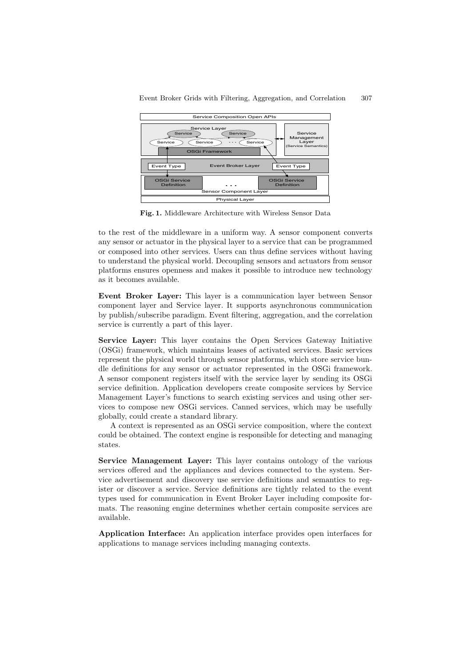

**Fig. 1.** Middleware Architecture with Wireless Sensor Data

<span id="page-3-0"></span>to the rest of the middleware in a uniform way. A sensor component converts any sensor or actuator in the physical layer to a service that can be programmed or composed into other services. Users can thus define services without having to understand the physical world. Decoupling sensors and actuators from sensor platforms ensures openness and makes it possible to introduce new technology as it becomes available.

**Event Broker Layer:** This layer is a communication layer between Sensor component layer and Service layer. It supports asynchronous communication by publish/subscribe paradigm. Event filtering, aggregation, and the correlation service is currently a part of this layer.

**Service Layer:** This layer contains the Open Services Gateway Initiative (OSGi) framework, which maintains leases of activated services. Basic services represent the physical world through sensor platforms, which store service bundle definitions for any sensor or actuator represented in the OSGi framework. A sensor component registers itself with the service layer by sending its OSGi service definition. Application developers create composite services by Service Management Layer's functions to search existing services and using other services to compose new OSGi services. Canned services, which may be usefully globally, could create a standard library.

A context is represented as an OSGi service composition, where the context could be obtained. The context engine is responsible for detecting and managing states.

**Service Management Layer:** This layer contains ontology of the various services offered and the appliances and devices connected to the system. Service advertisement and discovery use service definitions and semantics to register or discover a service. Service definitions are tightly related to the event types used for communication in Event Broker Layer including composite formats. The reasoning engine determines whether certain composite services are available.

**Application Interface:** An application interface provides open interfaces for applications to manage services including managing contexts.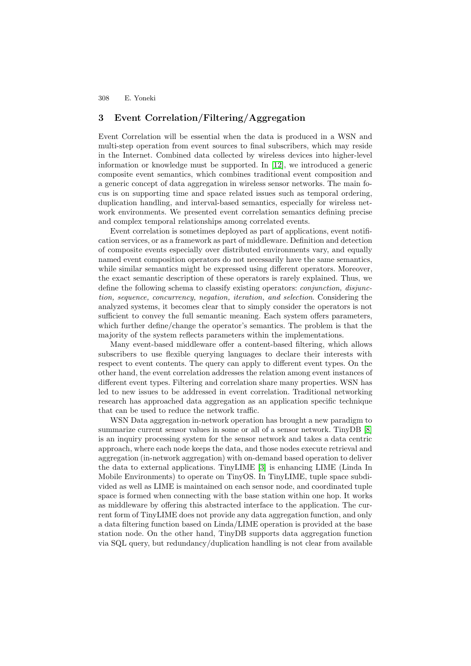308 E. Yoneki

# **3 Event Correlation/Filtering/Aggregation**

Event Correlation will be essential when the data is produced in a WSN and multi-step operation from event sources to final subscribers, which may reside in the Internet. Combined data collected by wireless devices into higher-level information or knowledge must be supported. In [\[12\]](#page-9-4), we introduced a generic composite event semantics, which combines traditional event composition and a generic concept of data aggregation in wireless sensor networks. The main focus is on supporting time and space related issues such as temporal ordering, duplication handling, and interval-based semantics, especially for wireless network environments. We presented event correlation semantics defining precise and complex temporal relationships among correlated events.

Event correlation is sometimes deployed as part of applications, event notification services, or as a framework as part of middleware. Definition and detection of composite events especially over distributed environments vary, and equally named event composition operators do not necessarily have the same semantics, while similar semantics might be expressed using different operators. Moreover, the exact semantic description of these operators is rarely explained. Thus, we define the following schema to classify existing operators: conjunction, disjunction, sequence, concurrency, negation, iteration, and selection. Considering the analyzed systems, it becomes clear that to simply consider the operators is not sufficient to convey the full semantic meaning. Each system offers parameters, which further define/change the operator's semantics. The problem is that the majority of the system reflects parameters within the implementations.

Many event-based middleware offer a content-based filtering, which allows subscribers to use flexible querying languages to declare their interests with respect to event contents. The query can apply to different event types. On the other hand, the event correlation addresses the relation among event instances of different event types. Filtering and correlation share many properties. WSN has led to new issues to be addressed in event correlation. Traditional networking research has approached data aggregation as an application specific technique that can be used to reduce the network traffic.

WSN Data aggregation in-network operation has brought a new paradigm to summarize current sensor values in some or all of a sensor network. TinyDB [\[8\]](#page-9-1) is an inquiry processing system for the sensor network and takes a data centric approach, where each node keeps the data, and those nodes execute retrieval and aggregation (in-network aggregation) with on-demand based operation to deliver the data to external applications. TinyLIME [\[3\]](#page-9-5) is enhancing LIME (Linda In Mobile Environments) to operate on TinyOS. In TinyLIME, tuple space subdivided as well as LIME is maintained on each sensor node, and coordinated tuple space is formed when connecting with the base station within one hop. It works as middleware by offering this abstracted interface to the application. The current form of TinyLIME does not provide any data aggregation function, and only a data filtering function based on Linda/LIME operation is provided at the base station node. On the other hand, TinyDB supports data aggregation function via SQL query, but redundancy/duplication handling is not clear from available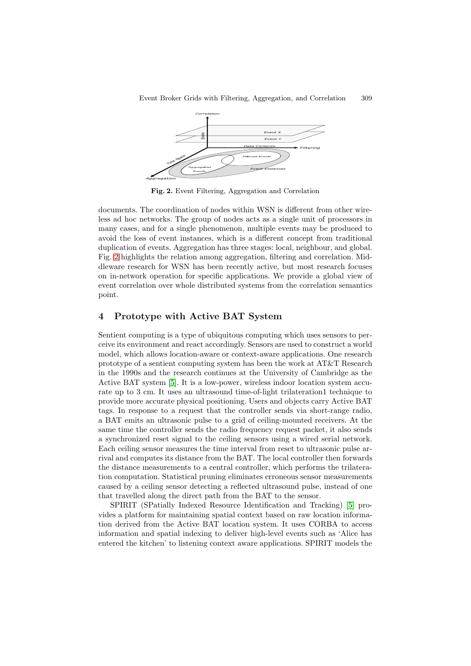

**Fig. 2.** Event Filtering, Aggregation and Correlation

<span id="page-5-0"></span>documents. The coordination of nodes within WSN is different from other wireless ad hoc networks. The group of nodes acts as a single unit of processors in many cases, and for a single phenomenon, multiple events may be produced to avoid the loss of event instances, which is a different concept from traditional duplication of events. Aggregation has three stages: local, neighbour, and global. Fig. [2](#page-5-0) highlights the relation among aggregation, filtering and correlation. Middleware research for WSN has been recently active, but most research focuses on in-network operation for specific applications. We provide a global view of event correlation over whole distributed systems from the correlation semantics point.

# **4 Prototype with Active BAT System**

Aggregation

Sentient computing is a type of ubiquitous computing which uses sensors to perceive its environment and react accordingly. Sensors are used to construct a world model, which allows location-aware or context-aware applications. One research prototype of a sentient computing system has been the work at AT&T Research in the 1990s and the research continues at the University of Cambridge as the Active BAT system [\[5\]](#page-9-2). It is a low-power, wireless indoor location system accurate up to 3 cm. It uses an ultrasound time-of-light trilateration1 technique to provide more accurate physical positioning. Users and objects carry Active BAT tags. In response to a request that the controller sends via short-range radio, a BAT emits an ultrasonic pulse to a grid of ceiling-mounted receivers. At the same time the controller sends the radio frequency request packet, it also sends a synchronized reset signal to the ceiling sensors using a wired serial network. Each ceiling sensor measures the time interval from reset to ultrasonic pulse arrival and computes its distance from the BAT. The local controller then forwards the distance measurements to a central controller, which performs the trilateration computation. Statistical pruning eliminates erroneous sensor measurements caused by a ceiling sensor detecting a reflected ultrasound pulse, instead of one that travelled along the direct path from the BAT to the sensor.

SPIRIT (SPatially Indexed Resource Identification and Tracking) [\[5\]](#page-9-2) provides a platform for maintaining spatial context based on raw location information derived from the Active BAT location system. It uses CORBA to access information and spatial indexing to deliver high-level events such as 'Alice has entered the kitchen' to listening context aware applications. SPIRIT models the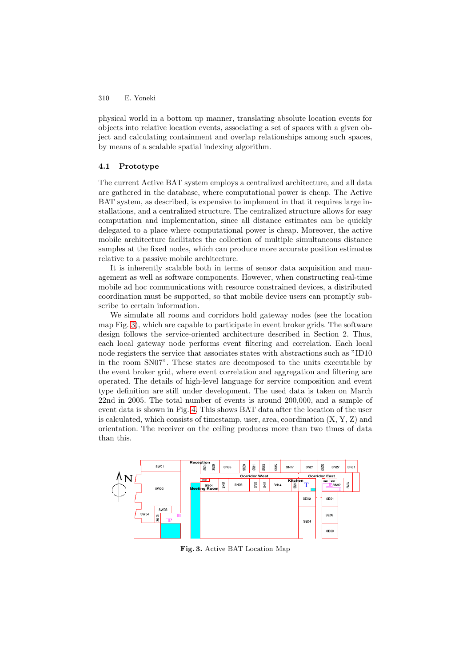### 310 E. Yoneki

physical world in a bottom up manner, translating absolute location events for objects into relative location events, associating a set of spaces with a given object and calculating containment and overlap relationships among such spaces, by means of a scalable spatial indexing algorithm.

## **4.1 Prototype**

The current Active BAT system employs a centralized architecture, and all data are gathered in the database, where computational power is cheap. The Active BAT system, as described, is expensive to implement in that it requires large installations, and a centralized structure. The centralized structure allows for easy computation and implementation, since all distance estimates can be quickly delegated to a place where computational power is cheap. Moreover, the active mobile architecture facilitates the collection of multiple simultaneous distance samples at the fixed nodes, which can produce more accurate position estimates relative to a passive mobile architecture.

It is inherently scalable both in terms of sensor data acquisition and management as well as software components. However, when constructing real-time mobile ad hoc communications with resource constrained devices, a distributed coordination must be supported, so that mobile device users can promptly subscribe to certain information.

We simulate all rooms and corridors hold gateway nodes (see the location map Fig. [3\)](#page-6-0), which are capable to participate in event broker grids. The software design follows the service-oriented architecture described in Section 2. Thus, each local gateway node performs event filtering and correlation. Each local node registers the service that associates states with abstractions such as "ID10 in the room SN07". These states are decomposed to the units executable by the event broker grid, where event correlation and aggregation and filtering are operated. The details of high-level language for service composition and event type definition are still under development. The used data is taken on March 22nd in 2005. The total number of events is around 200,000, and a sample of event data is shown in Fig. [4.](#page-7-0) This shows BAT data after the location of the user is calculated, which consists of timestamp, user, area, coordination (X, Y, Z) and orientation. The receiver on the ceiling produces more than two times of data than this.

<span id="page-6-0"></span>

**Fig. 3.** Active BAT Location Map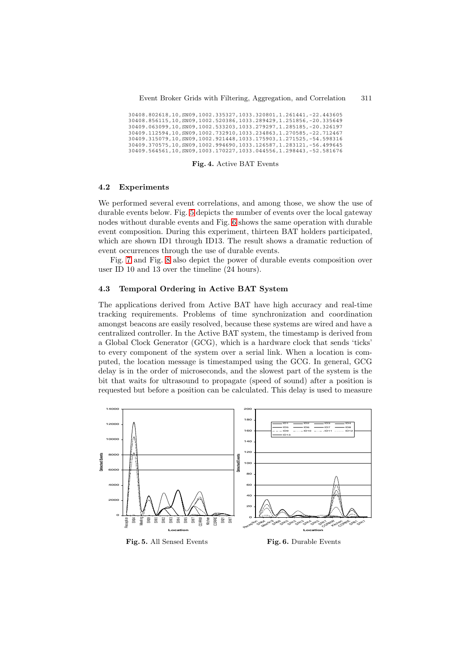30408.802618,10,SN09,1002.335327,1033.320801,1.261441,-22.443605 30408.856115,10,SN09,1002.520386,1033.289429,1.251856,-20.335649 30409.063099,10,SN09,1002.533203,1033.279297,1.285185,-20.326197 30409.112594,10,SN09,1002.732910,1033.234863,1.270585,-22.712467 30409.315079,10,SN09,1002.921448,1033.175903,1.271525,-54.598316 30409.370575,10,SN09,1002.994690,1033.126587,1.283121,-56.499645 30409.564561,10,SN09,1003.170227,1033.044556,1.298443,-52.581676

#### **Fig. 4.** Active BAT Events

#### <span id="page-7-0"></span>**4.2 Experiments**

We performed several event correlations, and among those, we show the use of durable events below. Fig. [5](#page-7-1) depicts the number of events over the local gateway nodes without durable events and Fig. [6](#page-7-2) shows the same operation with durable event composition. During this experiment, thirteen BAT holders participated, which are shown ID1 through ID13. The result shows a dramatic reduction of event occurrences through the use of durable events.

Fig. [7](#page-8-0) and Fig. [8](#page-8-1) also depict the power of durable events composition over user ID 10 and 13 over the timeline (24 hours).

#### **4.3 Temporal Ordering in Active BAT System**

The applications derived from Active BAT have high accuracy and real-time tracking requirements. Problems of time synchronization and coordination amongst beacons are easily resolved, because these systems are wired and have a centralized controller. In the Active BAT system, the timestamp is derived from a Global Clock Generator (GCG), which is a hardware clock that sends 'ticks' to every component of the system over a serial link. When a location is computed, the location message is timestamped using the GCG. In general, GCG delay is in the order of microseconds, and the slowest part of the system is the bit that waits for ultrasound to propagate (speed of sound) after a position is requested but before a position can be calculated. This delay is used to measure

<span id="page-7-2"></span><span id="page-7-1"></span>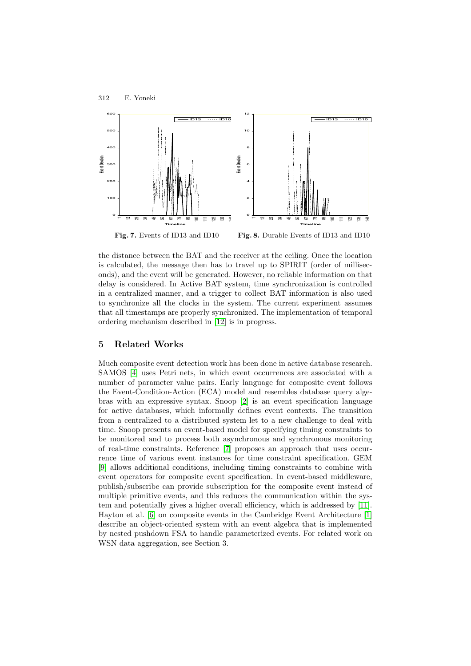

<span id="page-8-1"></span>**Fig. 7.** Events of ID13 and ID10 **Fig. 8.** Durable Events of ID13 and ID10

<span id="page-8-0"></span>the distance between the BAT and the receiver at the ceiling. Once the location is calculated, the message then has to travel up to SPIRIT (order of milliseconds), and the event will be generated. However, no reliable information on that delay is considered. In Active BAT system, time synchronization is controlled in a centralized manner, and a trigger to collect BAT information is also used to synchronize all the clocks in the system. The current experiment assumes that all timestamps are properly synchronized. The implementation of temporal ordering mechanism described in [\[12\]](#page-9-4) is in progress.

# **5 Related Works**

312 E. Yoneki

Much composite event detection work has been done in active database research. SAMOS [\[4\]](#page-9-6) uses Petri nets, in which event occurrences are associated with a number of parameter value pairs. Early language for composite event follows the Event-Condition-Action (ECA) model and resembles database query algebras with an expressive syntax. Snoop [\[2\]](#page-9-7) is an event specification language for active databases, which informally defines event contexts. The transition from a centralized to a distributed system let to a new challenge to deal with time. Snoop presents an event-based model for specifying timing constraints to be monitored and to process both asynchronous and synchronous monitoring of real-time constraints. Reference [\[7\]](#page-9-8) proposes an approach that uses occurrence time of various event instances for time constraint specification. GEM [\[9\]](#page-9-9) allows additional conditions, including timing constraints to combine with event operators for composite event specification. In event-based middleware, publish/subscribe can provide subscription for the composite event instead of multiple primitive events, and this reduces the communication within the system and potentially gives a higher overall efficiency, which is addressed by [\[11\]](#page-9-10). Hayton et al. [\[6\]](#page-9-11) on composite events in the Cambridge Event Architecture [\[1\]](#page-9-12) describe an object-oriented system with an event algebra that is implemented by nested pushdown FSA to handle parameterized events. For related work on WSN data aggregation, see Section 3.